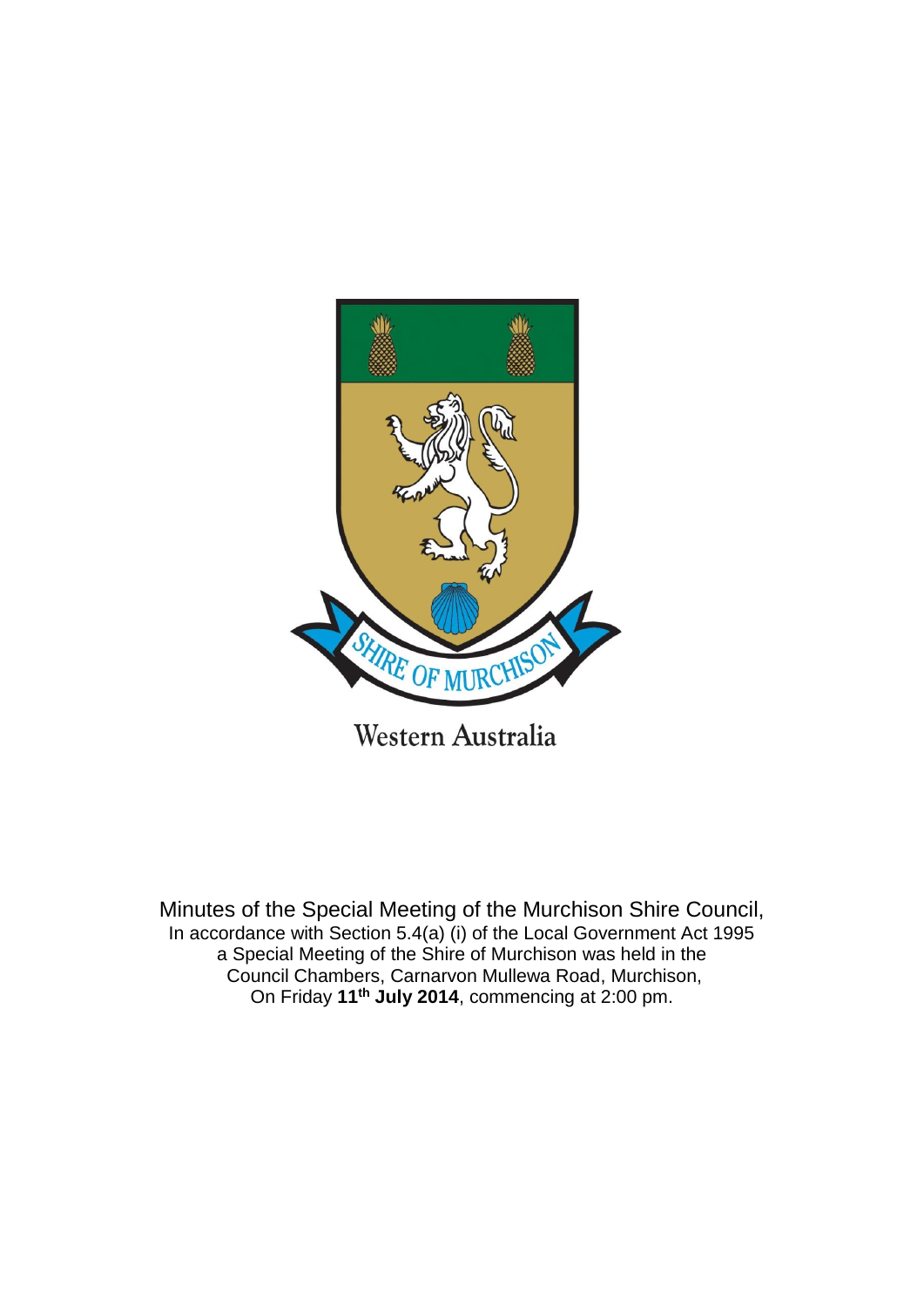

Minutes of the Special Meeting of the Murchison Shire Council,

In accordance with Section 5.4(a) (i) of the Local Government Act 1995 a Special Meeting of the Shire of Murchison was held in the Council Chambers, Carnarvon Mullewa Road, Murchison, On Friday **11th July 2014**, commencing at 2:00 pm.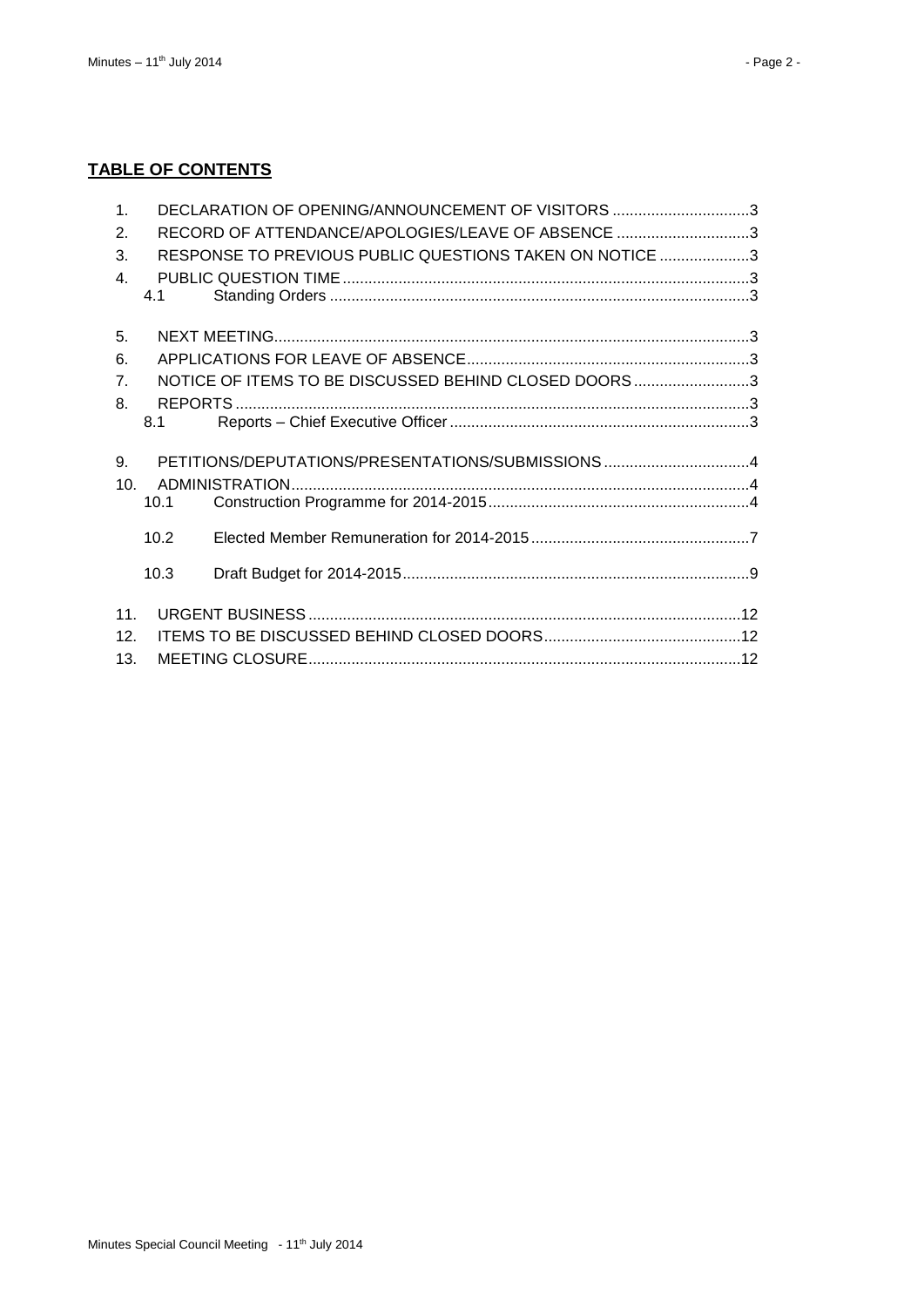# **TABLE OF CONTENTS**

| $\mathbf{1}$ .  |      | DECLARATION OF OPENING/ANNOUNCEMENT OF VISITORS 3       |  |
|-----------------|------|---------------------------------------------------------|--|
| 2.              |      | RECORD OF ATTENDANCE/APOLOGIES/LEAVE OF ABSENCE 3       |  |
| 3.              |      | RESPONSE TO PREVIOUS PUBLIC QUESTIONS TAKEN ON NOTICE 3 |  |
| $\mathbf{4}$ .  |      |                                                         |  |
|                 | 4.1  |                                                         |  |
| 5.              |      |                                                         |  |
| 6.              |      |                                                         |  |
| 7 <sub>1</sub>  |      | NOTICE OF ITEMS TO BE DISCUSSED BEHIND CLOSED DOORS3    |  |
| 8.              |      |                                                         |  |
|                 | 8.1  |                                                         |  |
| 9.              |      | PETITIONS/DEPUTATIONS/PRESENTATIONS/SUBMISSIONS4        |  |
| 10 <sup>1</sup> |      |                                                         |  |
|                 | 10.1 |                                                         |  |
|                 | 10.2 |                                                         |  |
|                 | 10.3 |                                                         |  |
| 11.             |      |                                                         |  |
| 12.             |      |                                                         |  |
| 13.             |      |                                                         |  |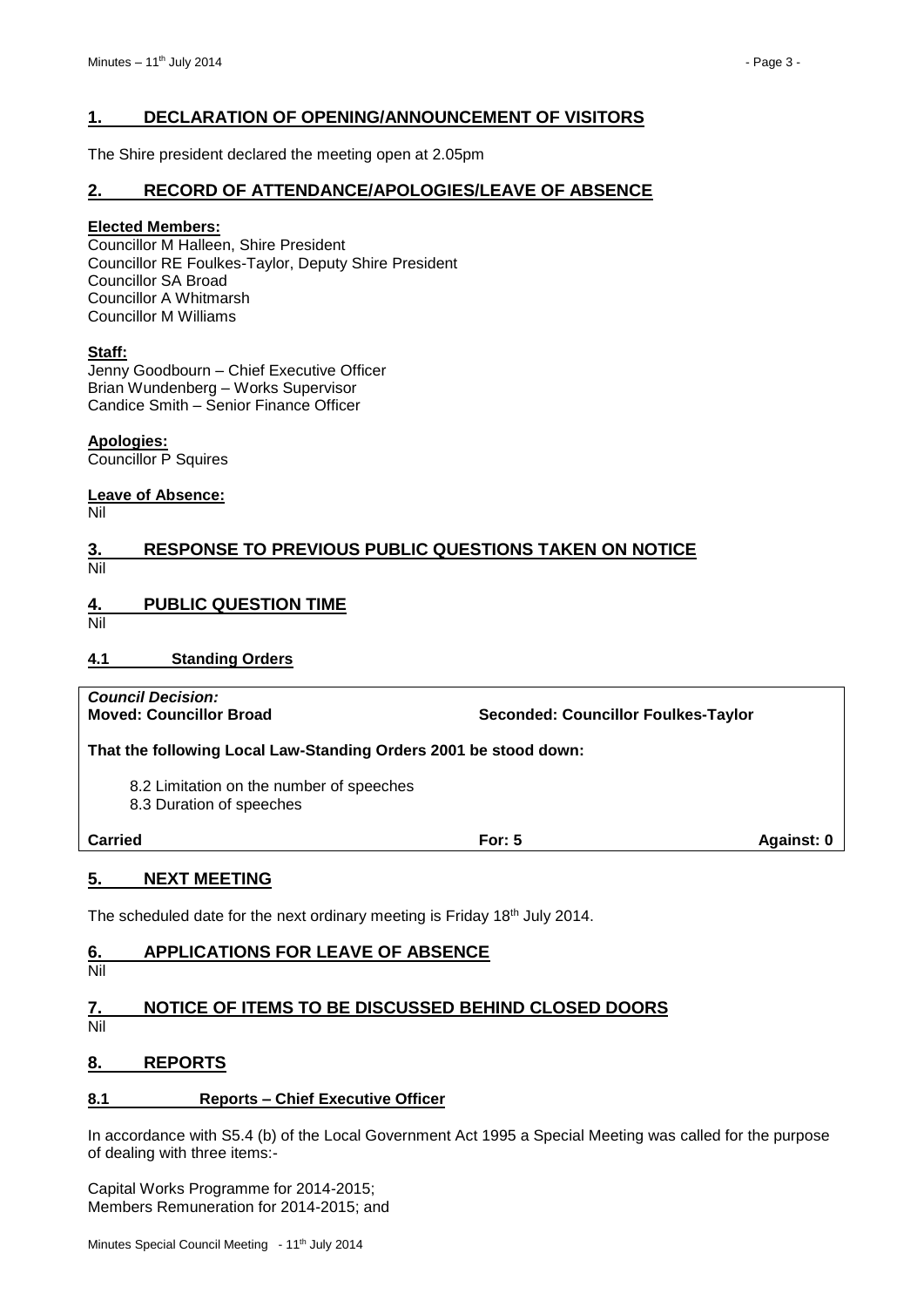# <span id="page-2-0"></span>**1. DECLARATION OF OPENING/ANNOUNCEMENT OF VISITORS**

The Shire president declared the meeting open at 2.05pm

#### <span id="page-2-1"></span>**2. RECORD OF ATTENDANCE/APOLOGIES/LEAVE OF ABSENCE**

#### **Elected Members:**

Councillor M Halleen, Shire President Councillor RE Foulkes-Taylor, Deputy Shire President Councillor SA Broad Councillor A Whitmarsh Councillor M Williams

#### **Staff:**

Jenny Goodbourn – Chief Executive Officer Brian Wundenberg – Works Supervisor Candice Smith – Senior Finance Officer

**Apologies:** Councillor P Squires

**Leave of Absence:** Nil

# <span id="page-2-2"></span>**3. RESPONSE TO PREVIOUS PUBLIC QUESTIONS TAKEN ON NOTICE** Nil

<span id="page-2-3"></span>**4. PUBLIC QUESTION TIME**

Nil

#### <span id="page-2-4"></span>**4.1 Standing Orders**

*Council Decision:*

**Moved: Councillor Broad Seconded: Councillor Foulkes-Taylor**

**That the following Local Law-Standing Orders 2001 be stood down:**

8.2 Limitation on the number of speeches

8.3 Duration of speeches

**Carried For: 5 Against: 0**

# <span id="page-2-5"></span>**5. NEXT MEETING**

The scheduled date for the next ordinary meeting is Friday 18th July 2014.

# <span id="page-2-6"></span>**6. APPLICATIONS FOR LEAVE OF ABSENCE**

Nil

# <span id="page-2-7"></span>**7. NOTICE OF ITEMS TO BE DISCUSSED BEHIND CLOSED DOORS**

```
Nil
```
# <span id="page-2-8"></span>**8. REPORTS**

#### <span id="page-2-9"></span>**8.1 Reports – Chief Executive Officer**

In accordance with S5.4 (b) of the Local Government Act 1995 a Special Meeting was called for the purpose of dealing with three items:-

Capital Works Programme for 2014-2015; Members Remuneration for 2014-2015; and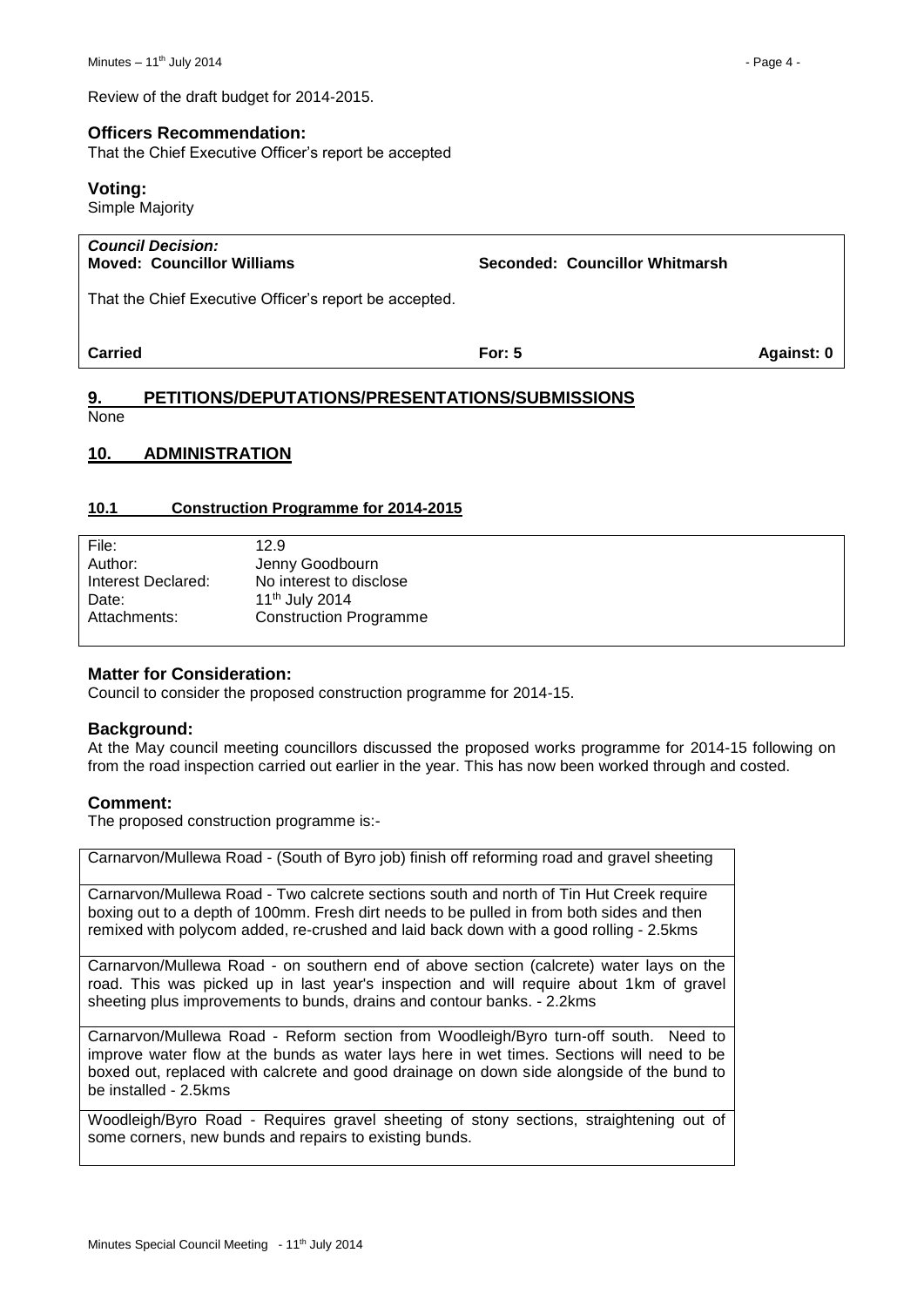Review of the draft budget for 2014-2015.

# **Officers Recommendation:**

That the Chief Executive Officer's report be accepted

#### **Voting:**

Simple Majority

| <b>Council Decision:</b><br><b>Moved: Councillor Williams</b> | Seconded: Councillor Whitmarsh |            |
|---------------------------------------------------------------|--------------------------------|------------|
| That the Chief Executive Officer's report be accepted.        |                                |            |
| Carried                                                       | For: $5$                       | Against: 0 |

# <span id="page-3-0"></span>**9. PETITIONS/DEPUTATIONS/PRESENTATIONS/SUBMISSIONS None**

#### <span id="page-3-1"></span>**10. ADMINISTRATION**

#### <span id="page-3-2"></span>**10.1 Construction Programme for 2014-2015**

| File:              | 12.9                          |
|--------------------|-------------------------------|
| Author:            | Jenny Goodbourn               |
| Interest Declared: | No interest to disclose       |
| Date:              | 11 <sup>th</sup> July 2014    |
| Attachments:       | <b>Construction Programme</b> |
|                    |                               |

# **Matter for Consideration:**

Council to consider the proposed construction programme for 2014-15.

#### **Background:**

At the May council meeting councillors discussed the proposed works programme for 2014-15 following on from the road inspection carried out earlier in the year. This has now been worked through and costed.

# **Comment:**

The proposed construction programme is:-

Carnarvon/Mullewa Road - (South of Byro job) finish off reforming road and gravel sheeting

Carnarvon/Mullewa Road - Two calcrete sections south and north of Tin Hut Creek require boxing out to a depth of 100mm. Fresh dirt needs to be pulled in from both sides and then remixed with polycom added, re-crushed and laid back down with a good rolling - 2.5kms

Carnarvon/Mullewa Road - on southern end of above section (calcrete) water lays on the road. This was picked up in last year's inspection and will require about 1km of gravel sheeting plus improvements to bunds, drains and contour banks. - 2.2kms

Carnarvon/Mullewa Road - Reform section from Woodleigh/Byro turn-off south. Need to improve water flow at the bunds as water lays here in wet times. Sections will need to be boxed out, replaced with calcrete and good drainage on down side alongside of the bund to be installed - 2.5kms

Woodleigh/Byro Road - Requires gravel sheeting of stony sections, straightening out of some corners, new bunds and repairs to existing bunds.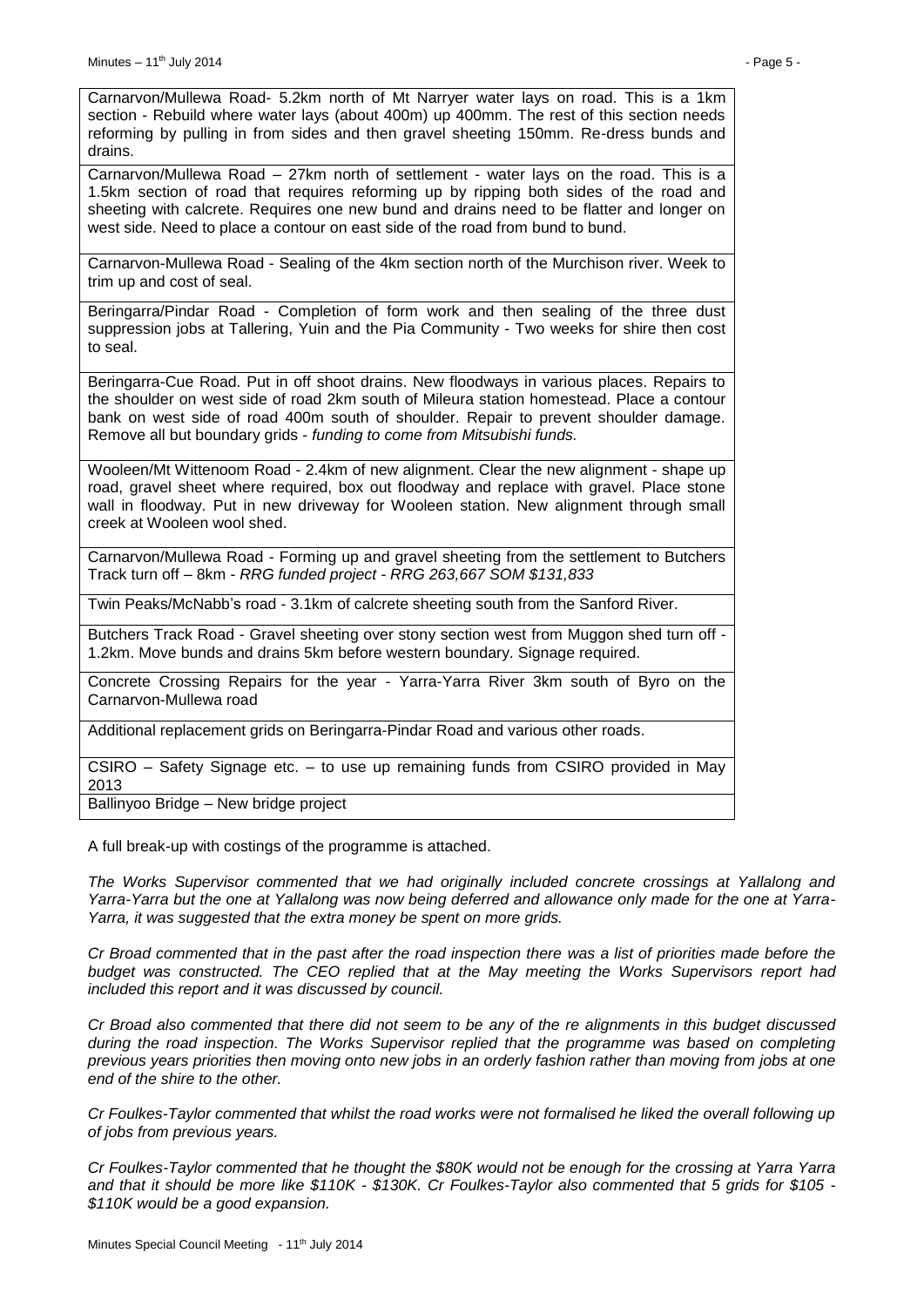Carnarvon/Mullewa Road- 5.2km north of Mt Narryer water lays on road. This is a 1km section - Rebuild where water lays (about 400m) up 400mm. The rest of this section needs reforming by pulling in from sides and then gravel sheeting 150mm. Re-dress bunds and drains.

Carnarvon/Mullewa Road – 27km north of settlement - water lays on the road. This is a 1.5km section of road that requires reforming up by ripping both sides of the road and sheeting with calcrete. Requires one new bund and drains need to be flatter and longer on west side. Need to place a contour on east side of the road from bund to bund.

Carnarvon-Mullewa Road - Sealing of the 4km section north of the Murchison river. Week to trim up and cost of seal.

Beringarra/Pindar Road - Completion of form work and then sealing of the three dust suppression jobs at Tallering, Yuin and the Pia Community - Two weeks for shire then cost to seal.

Beringarra-Cue Road. Put in off shoot drains. New floodways in various places. Repairs to the shoulder on west side of road 2km south of Mileura station homestead. Place a contour bank on west side of road 400m south of shoulder. Repair to prevent shoulder damage. Remove all but boundary grids - *funding to come from Mitsubishi funds.*

Wooleen/Mt Wittenoom Road - 2.4km of new alignment. Clear the new alignment - shape up road, gravel sheet where required, box out floodway and replace with gravel. Place stone wall in floodway. Put in new driveway for Wooleen station. New alignment through small creek at Wooleen wool shed.

Carnarvon/Mullewa Road - Forming up and gravel sheeting from the settlement to Butchers Track turn off – 8km - *RRG funded project - RRG 263,667 SOM \$131,833*

Twin Peaks/McNabb's road - 3.1km of calcrete sheeting south from the Sanford River.

Butchers Track Road - Gravel sheeting over stony section west from Muggon shed turn off - 1.2km. Move bunds and drains 5km before western boundary. Signage required.

Concrete Crossing Repairs for the year - Yarra-Yarra River 3km south of Byro on the Carnarvon-Mullewa road

Additional replacement grids on Beringarra-Pindar Road and various other roads.

CSIRO – Safety Signage etc. – to use up remaining funds from CSIRO provided in May 2013

Ballinyoo Bridge – New bridge project

A full break-up with costings of the programme is attached.

*The Works Supervisor commented that we had originally included concrete crossings at Yallalong and Yarra-Yarra but the one at Yallalong was now being deferred and allowance only made for the one at Yarra-Yarra, it was suggested that the extra money be spent on more grids.*

*Cr Broad commented that in the past after the road inspection there was a list of priorities made before the budget was constructed. The CEO replied that at the May meeting the Works Supervisors report had included this report and it was discussed by council.*

*Cr Broad also commented that there did not seem to be any of the re alignments in this budget discussed during the road inspection. The Works Supervisor replied that the programme was based on completing previous years priorities then moving onto new jobs in an orderly fashion rather than moving from jobs at one end of the shire to the other.*

*Cr Foulkes-Taylor commented that whilst the road works were not formalised he liked the overall following up of jobs from previous years.*

*Cr Foulkes-Taylor commented that he thought the \$80K would not be enough for the crossing at Yarra Yarra and that it should be more like \$110K - \$130K. Cr Foulkes-Taylor also commented that 5 grids for \$105 - \$110K would be a good expansion.*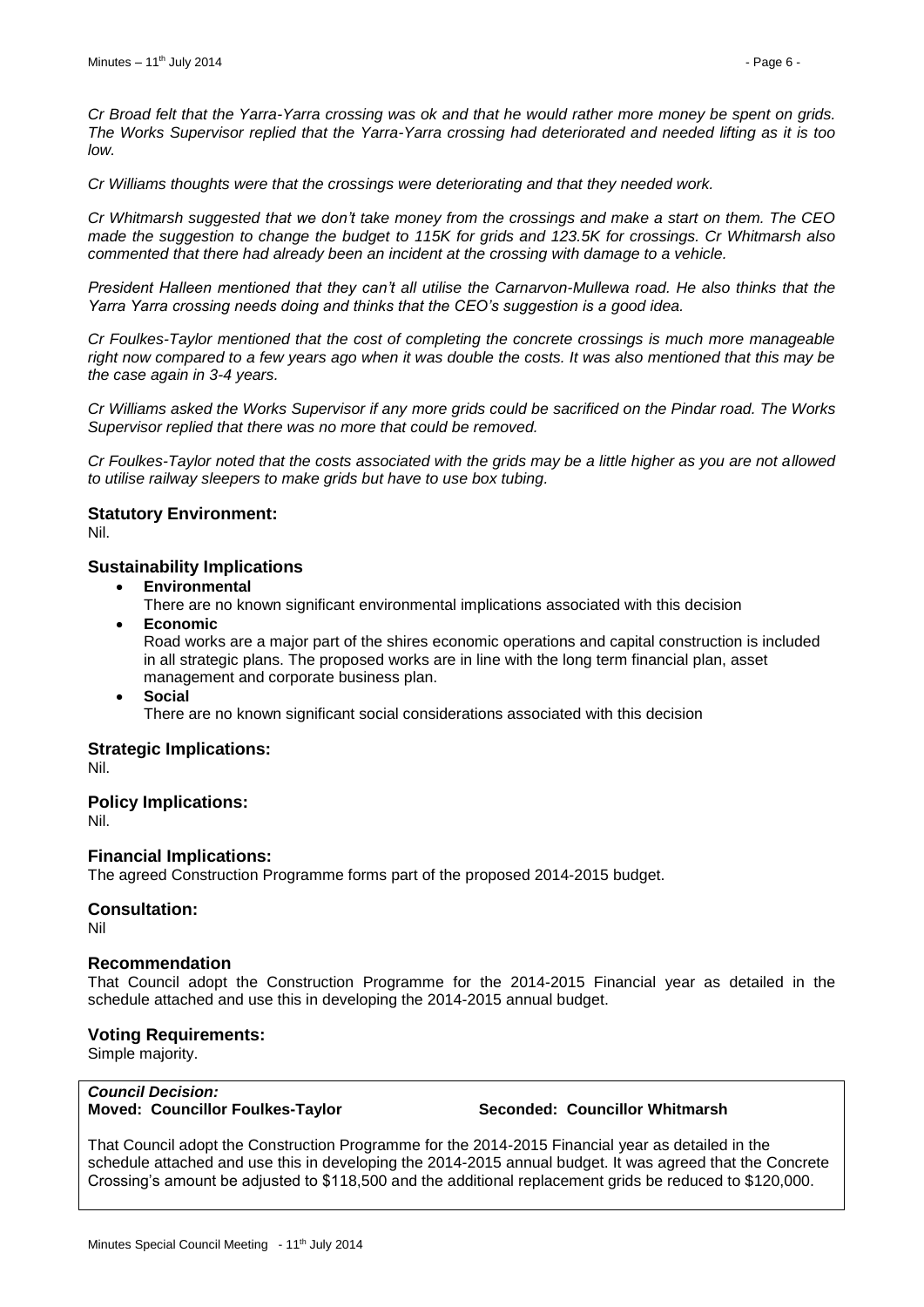*Cr Broad felt that the Yarra-Yarra crossing was ok and that he would rather more money be spent on grids. The Works Supervisor replied that the Yarra-Yarra crossing had deteriorated and needed lifting as it is too low.*

*Cr Williams thoughts were that the crossings were deteriorating and that they needed work.*

*Cr Whitmarsh suggested that we don't take money from the crossings and make a start on them. The CEO made the suggestion to change the budget to 115K for grids and 123.5K for crossings. Cr Whitmarsh also commented that there had already been an incident at the crossing with damage to a vehicle.*

*President Halleen mentioned that they can't all utilise the Carnarvon-Mullewa road. He also thinks that the Yarra Yarra crossing needs doing and thinks that the CEO's suggestion is a good idea.* 

*Cr Foulkes-Taylor mentioned that the cost of completing the concrete crossings is much more manageable right now compared to a few years ago when it was double the costs. It was also mentioned that this may be the case again in 3-4 years.*

*Cr Williams asked the Works Supervisor if any more grids could be sacrificed on the Pindar road. The Works Supervisor replied that there was no more that could be removed.*

*Cr Foulkes-Taylor noted that the costs associated with the grids may be a little higher as you are not allowed to utilise railway sleepers to make grids but have to use box tubing.*

# **Statutory Environment:**

Nil.

# **Sustainability Implications**

**Environmental**

There are no known significant environmental implications associated with this decision

- **Economic** Road works are a major part of the shires economic operations and capital construction is included in all strategic plans. The proposed works are in line with the long term financial plan, asset management and corporate business plan.
- **Social**

There are no known significant social considerations associated with this decision

# **Strategic Implications:**

Nil.

# **Policy Implications:**

Nil.

# **Financial Implications:**

The agreed Construction Programme forms part of the proposed 2014-2015 budget.

# **Consultation:**

Nil

# **Recommendation**

That Council adopt the Construction Programme for the 2014-2015 Financial year as detailed in the schedule attached and use this in developing the 2014-2015 annual budget.

# **Voting Requirements:**

Simple majority.

#### *Council Decision:* **Moved: Councillor Foulkes-Taylor Seconded: Councillor Whitmarsh**

That Council adopt the Construction Programme for the 2014-2015 Financial year as detailed in the schedule attached and use this in developing the 2014-2015 annual budget. It was agreed that the Concrete Crossing's amount be adjusted to \$118,500 and the additional replacement grids be reduced to \$120,000.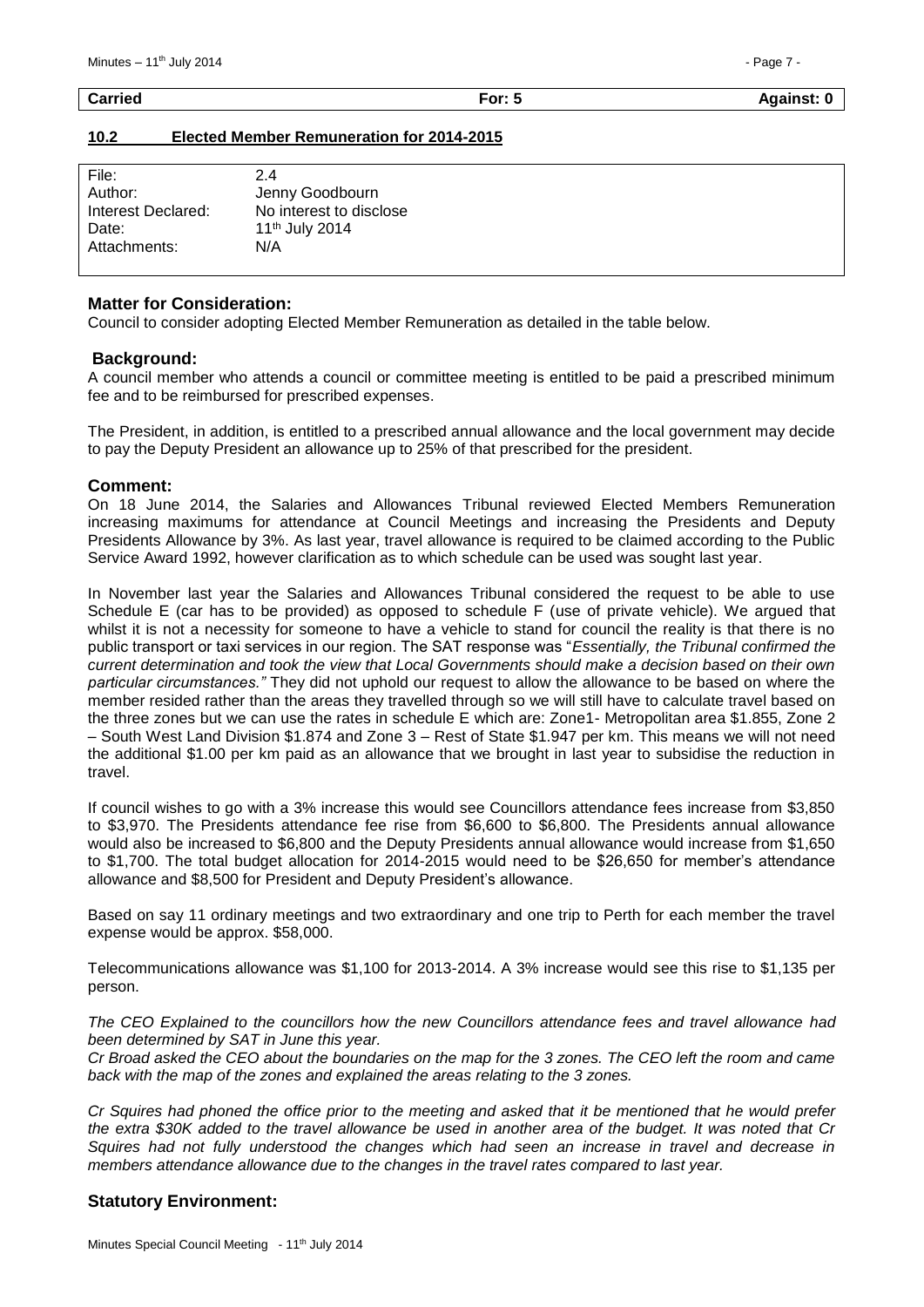#### <span id="page-6-0"></span>**10.2 Elected Member Remuneration for 2014-2015**

| File:              | 2.4                        |
|--------------------|----------------------------|
| Author:            | Jenny Goodbourn            |
| Interest Declared: | No interest to disclose    |
| Date:              | 11 <sup>th</sup> July 2014 |
| Attachments:       | N/A                        |
|                    |                            |

#### **Matter for Consideration:**

Council to consider adopting Elected Member Remuneration as detailed in the table below.

#### **Background:**

A council member who attends a council or committee meeting is entitled to be paid a prescribed minimum fee and to be reimbursed for prescribed expenses.

The President, in addition, is entitled to a prescribed annual allowance and the local government may decide to pay the Deputy President an allowance up to 25% of that prescribed for the president.

#### **Comment:**

On 18 June 2014, the Salaries and Allowances Tribunal reviewed Elected Members Remuneration increasing maximums for attendance at Council Meetings and increasing the Presidents and Deputy Presidents Allowance by 3%. As last year, travel allowance is required to be claimed according to the Public Service Award 1992, however clarification as to which schedule can be used was sought last year.

In November last year the Salaries and Allowances Tribunal considered the request to be able to use Schedule E (car has to be provided) as opposed to schedule F (use of private vehicle). We argued that whilst it is not a necessity for someone to have a vehicle to stand for council the reality is that there is no public transport or taxi services in our region. The SAT response was "*Essentially, the Tribunal confirmed the current determination and took the view that Local Governments should make a decision based on their own particular circumstances."* They did not uphold our request to allow the allowance to be based on where the member resided rather than the areas they travelled through so we will still have to calculate travel based on the three zones but we can use the rates in schedule E which are: Zone1- Metropolitan area \$1.855, Zone 2 – South West Land Division \$1.874 and Zone 3 – Rest of State \$1.947 per km. This means we will not need the additional \$1.00 per km paid as an allowance that we brought in last year to subsidise the reduction in travel.

If council wishes to go with a 3% increase this would see Councillors attendance fees increase from \$3,850 to \$3,970. The Presidents attendance fee rise from \$6,600 to \$6,800. The Presidents annual allowance would also be increased to \$6,800 and the Deputy Presidents annual allowance would increase from \$1,650 to \$1,700. The total budget allocation for 2014-2015 would need to be \$26,650 for member's attendance allowance and \$8,500 for President and Deputy President's allowance.

Based on say 11 ordinary meetings and two extraordinary and one trip to Perth for each member the travel expense would be approx. \$58,000.

Telecommunications allowance was \$1,100 for 2013-2014. A 3% increase would see this rise to \$1,135 per person.

*The CEO Explained to the councillors how the new Councillors attendance fees and travel allowance had been determined by SAT in June this year.*

*Cr Broad asked the CEO about the boundaries on the map for the 3 zones. The CEO left the room and came back with the map of the zones and explained the areas relating to the 3 zones.*

*Cr Squires had phoned the office prior to the meeting and asked that it be mentioned that he would prefer the extra \$30K added to the travel allowance be used in another area of the budget. It was noted that Cr Squires had not fully understood the changes which had seen an increase in travel and decrease in members attendance allowance due to the changes in the travel rates compared to last year.* 

# **Statutory Environment:**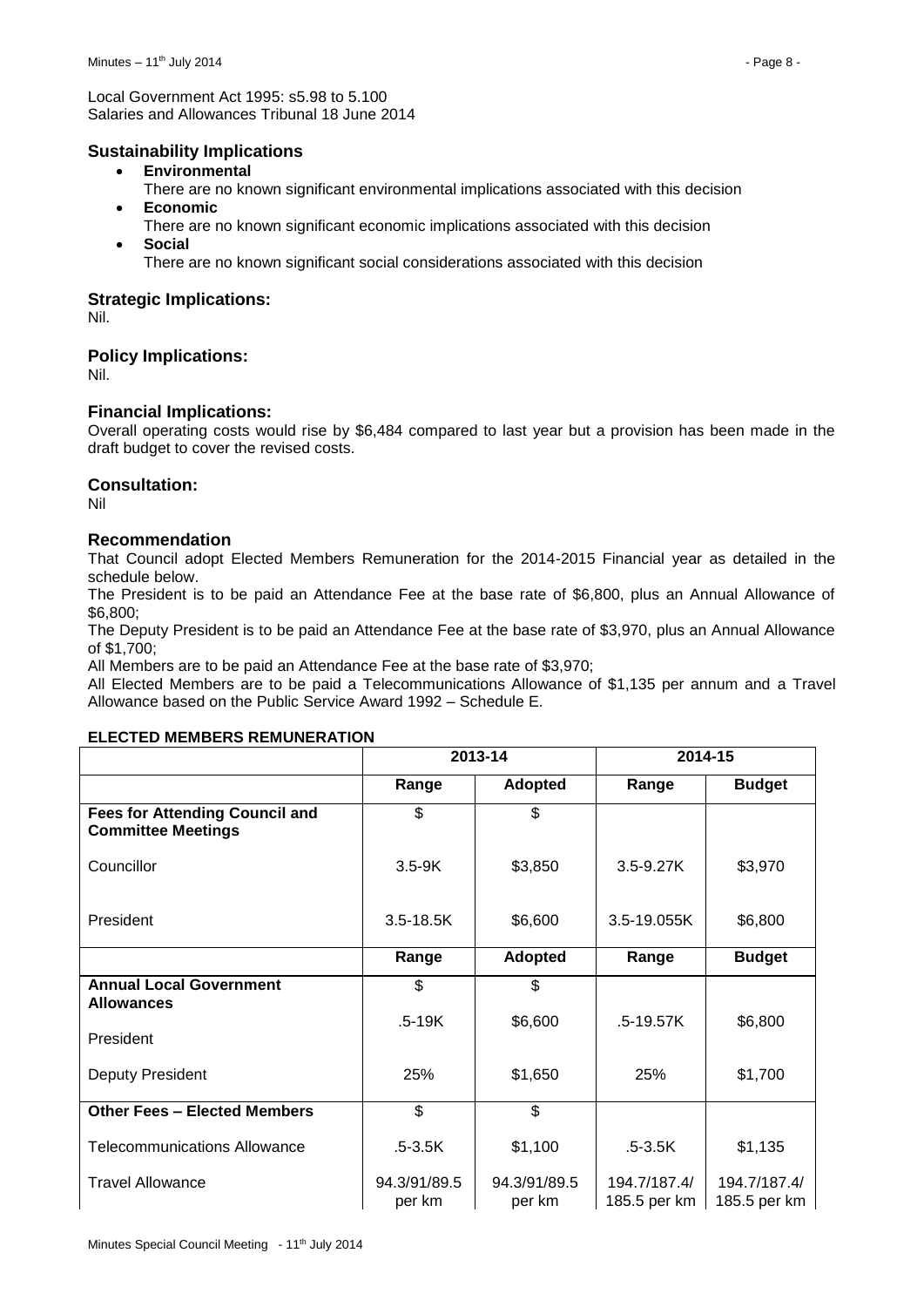Local Government Act 1995: s5.98 to 5.100 Salaries and Allowances Tribunal 18 June 2014

# **Sustainability Implications**

- **Environmental**
- There are no known significant environmental implications associated with this decision **Economic**
- There are no known significant economic implications associated with this decision **Social**
	- There are no known significant social considerations associated with this decision

# **Strategic Implications:**

Nil.

# **Policy Implications:**

Nil.

# **Financial Implications:**

Overall operating costs would rise by \$6,484 compared to last year but a provision has been made in the draft budget to cover the revised costs.

# **Consultation:**

Nil

# **Recommendation**

That Council adopt Elected Members Remuneration for the 2014-2015 Financial year as detailed in the schedule below.

The President is to be paid an Attendance Fee at the base rate of \$6,800, plus an Annual Allowance of \$6,800;

The Deputy President is to be paid an Attendance Fee at the base rate of \$3,970, plus an Annual Allowance of \$1,700;

All Members are to be paid an Attendance Fee at the base rate of \$3,970;

All Elected Members are to be paid a Telecommunications Allowance of \$1,135 per annum and a Travel Allowance based on the Public Service Award 1992 – Schedule E.

# **ELECTED MEMBERS REMUNERATION**

|                                                                    | 2013-14                |                        | 2014-15                      |                              |
|--------------------------------------------------------------------|------------------------|------------------------|------------------------------|------------------------------|
|                                                                    | Range                  | <b>Adopted</b>         | Range                        | <b>Budget</b>                |
| <b>Fees for Attending Council and</b><br><b>Committee Meetings</b> | \$                     | \$                     |                              |                              |
| Councillor                                                         | $3.5 - 9K$             | \$3,850                | $3.5 - 9.27K$                | \$3,970                      |
| President                                                          | $3.5 - 18.5K$          | \$6,600                | 3.5-19.055K                  | \$6,800                      |
|                                                                    | Range                  | <b>Adopted</b>         | Range                        | <b>Budget</b>                |
| <b>Annual Local Government</b><br><b>Allowances</b>                | \$                     | \$                     |                              |                              |
| President                                                          | $.5-19K$               | \$6,600                | $.5 - 19.57K$                | \$6,800                      |
| Deputy President                                                   | 25%                    | \$1,650                | 25%                          | \$1,700                      |
| <b>Other Fees - Elected Members</b>                                | \$                     | \$                     |                              |                              |
| <b>Telecommunications Allowance</b>                                | $.5 - 3.5K$            | \$1,100                | $.5 - 3.5K$                  | \$1,135                      |
| <b>Travel Allowance</b>                                            | 94.3/91/89.5<br>per km | 94.3/91/89.5<br>per km | 194.7/187.4/<br>185.5 per km | 194.7/187.4/<br>185.5 per km |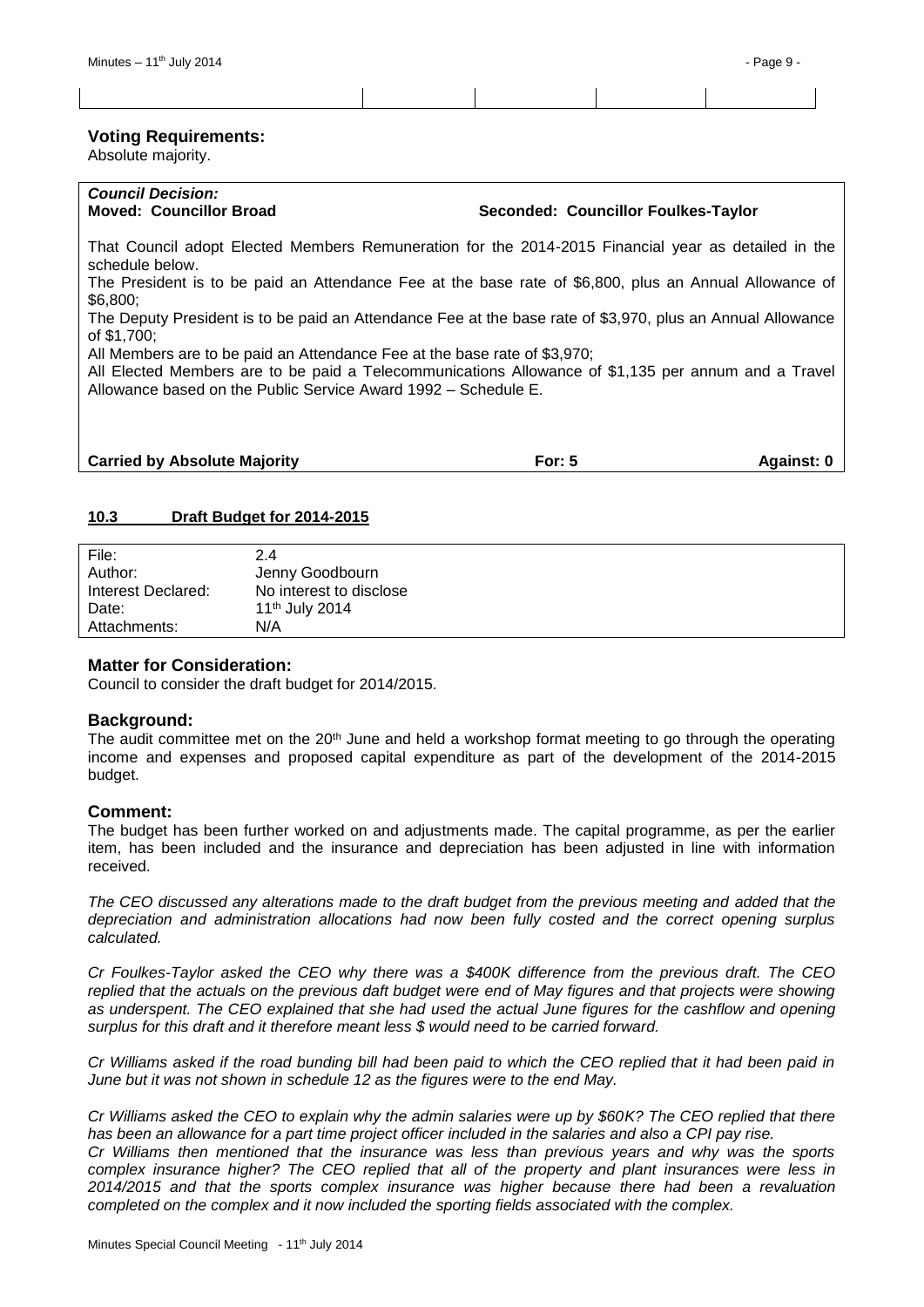#### **Voting Requirements:**

Absolute majority.

# *Council Decision:*

**Moved: Councillor Broad Seconded: Councillor Foulkes-Taylor**

That Council adopt Elected Members Remuneration for the 2014-2015 Financial year as detailed in the schedule below.

The President is to be paid an Attendance Fee at the base rate of \$6,800, plus an Annual Allowance of \$6,800;

The Deputy President is to be paid an Attendance Fee at the base rate of \$3,970, plus an Annual Allowance of \$1,700;

All Members are to be paid an Attendance Fee at the base rate of \$3,970;

All Elected Members are to be paid a Telecommunications Allowance of \$1,135 per annum and a Travel Allowance based on the Public Service Award 1992 – Schedule E.

| <b>Carried by Absolute Majority</b> | For: 5 | Against: 0 |
|-------------------------------------|--------|------------|
|                                     |        |            |

# <span id="page-8-0"></span>**10.3 Draft Budget for 2014-2015**

| File:              | 24                         |
|--------------------|----------------------------|
| Author:            | Jenny Goodbourn            |
| Interest Declared: | No interest to disclose    |
| Date:              | 11 <sup>th</sup> July 2014 |
| Attachments:       | N/A                        |

# **Matter for Consideration:**

Council to consider the draft budget for 2014/2015.

# **Background:**

The audit committee met on the  $20<sup>th</sup>$  June and held a workshop format meeting to go through the operating income and expenses and proposed capital expenditure as part of the development of the 2014-2015 budget.

# **Comment:**

The budget has been further worked on and adjustments made. The capital programme, as per the earlier item, has been included and the insurance and depreciation has been adjusted in line with information received.

*The CEO discussed any alterations made to the draft budget from the previous meeting and added that the depreciation and administration allocations had now been fully costed and the correct opening surplus calculated.*

*Cr Foulkes-Taylor asked the CEO why there was a \$400K difference from the previous draft. The CEO replied that the actuals on the previous daft budget were end of May figures and that projects were showing as underspent. The CEO explained that she had used the actual June figures for the cashflow and opening surplus for this draft and it therefore meant less \$ would need to be carried forward.*

*Cr Williams asked if the road bunding bill had been paid to which the CEO replied that it had been paid in June but it was not shown in schedule 12 as the figures were to the end May.*

*Cr Williams asked the CEO to explain why the admin salaries were up by \$60K? The CEO replied that there has been an allowance for a part time project officer included in the salaries and also a CPI pay rise.*

*Cr Williams then mentioned that the insurance was less than previous years and why was the sports complex insurance higher? The CEO replied that all of the property and plant insurances were less in 2014/2015 and that the sports complex insurance was higher because there had been a revaluation completed on the complex and it now included the sporting fields associated with the complex.*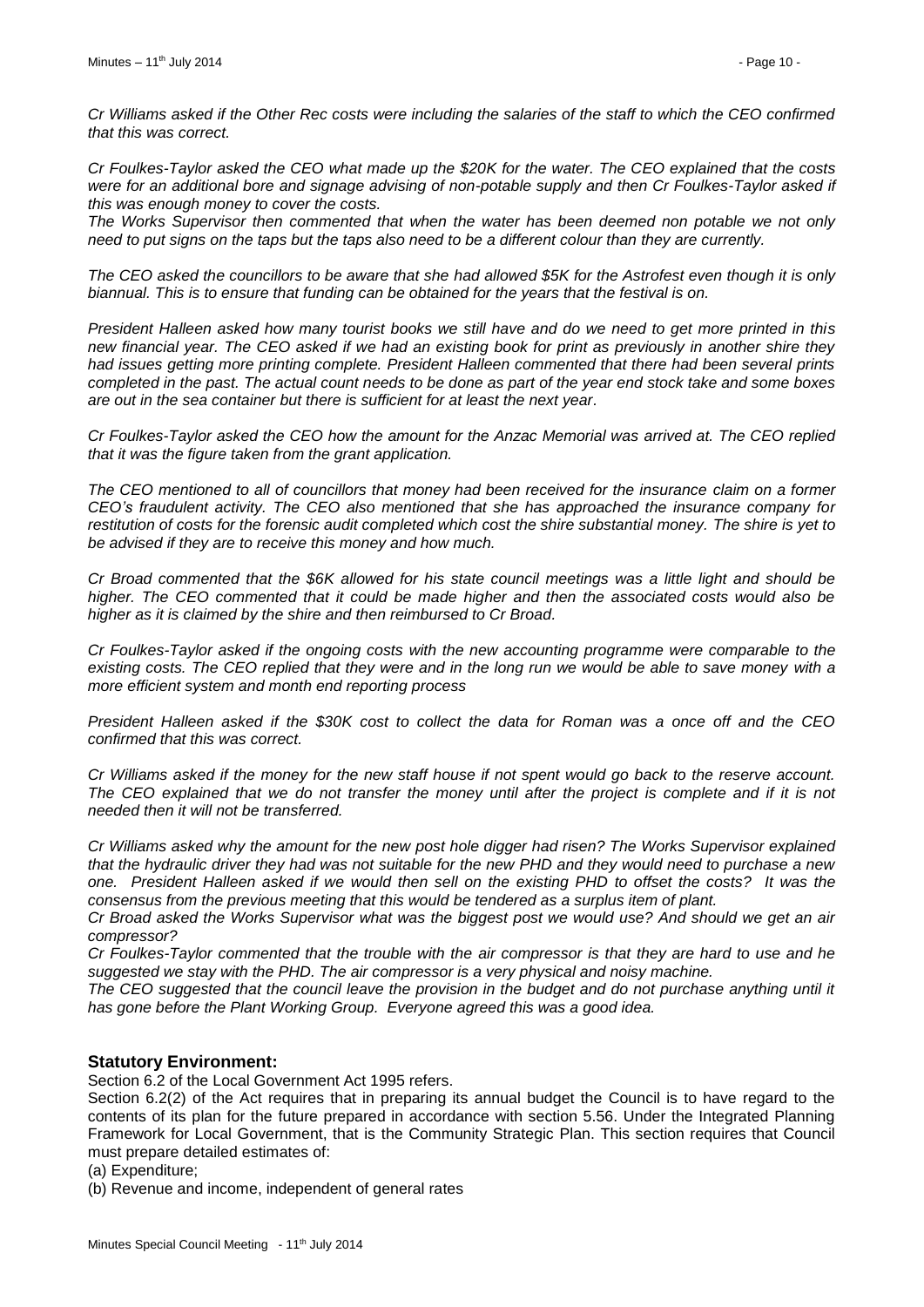*Cr Williams asked if the Other Rec costs were including the salaries of the staff to which the CEO confirmed that this was correct.*

*Cr Foulkes-Taylor asked the CEO what made up the \$20K for the water. The CEO explained that the costs were for an additional bore and signage advising of non-potable supply and then Cr Foulkes-Taylor asked if this was enough money to cover the costs.*

*The Works Supervisor then commented that when the water has been deemed non potable we not only need to put signs on the taps but the taps also need to be a different colour than they are currently.*

*The CEO asked the councillors to be aware that she had allowed \$5K for the Astrofest even though it is only biannual. This is to ensure that funding can be obtained for the years that the festival is on.*

*President Halleen asked how many tourist books we still have and do we need to get more printed in this new financial year. The CEO asked if we had an existing book for print as previously in another shire they had issues getting more printing complete. President Halleen commented that there had been several prints completed in the past. The actual count needs to be done as part of the year end stock take and some boxes are out in the sea container but there is sufficient for at least the next year.*

*Cr Foulkes-Taylor asked the CEO how the amount for the Anzac Memorial was arrived at. The CEO replied that it was the figure taken from the grant application.* 

*The CEO mentioned to all of councillors that money had been received for the insurance claim on a former CEO's fraudulent activity. The CEO also mentioned that she has approached the insurance company for restitution of costs for the forensic audit completed which cost the shire substantial money. The shire is yet to be advised if they are to receive this money and how much.*

*Cr Broad commented that the \$6K allowed for his state council meetings was a little light and should be higher. The CEO commented that it could be made higher and then the associated costs would also be higher as it is claimed by the shire and then reimbursed to Cr Broad.*

*Cr Foulkes-Taylor asked if the ongoing costs with the new accounting programme were comparable to the existing costs. The CEO replied that they were and in the long run we would be able to save money with a more efficient system and month end reporting process*

*President Halleen asked if the \$30K cost to collect the data for Roman was a once off and the CEO confirmed that this was correct.*

*Cr Williams asked if the money for the new staff house if not spent would go back to the reserve account. The CEO explained that we do not transfer the money until after the project is complete and if it is not needed then it will not be transferred.*

*Cr Williams asked why the amount for the new post hole digger had risen? The Works Supervisor explained that the hydraulic driver they had was not suitable for the new PHD and they would need to purchase a new one. President Halleen asked if we would then sell on the existing PHD to offset the costs? It was the consensus from the previous meeting that this would be tendered as a surplus item of plant.*

*Cr Broad asked the Works Supervisor what was the biggest post we would use? And should we get an air compressor?*

*Cr Foulkes-Taylor commented that the trouble with the air compressor is that they are hard to use and he suggested we stay with the PHD. The air compressor is a very physical and noisy machine.*

*The CEO suggested that the council leave the provision in the budget and do not purchase anything until it has gone before the Plant Working Group. Everyone agreed this was a good idea.*

# **Statutory Environment:**

Section 6.2 of the Local Government Act 1995 refers.

Section 6.2(2) of the Act requires that in preparing its annual budget the Council is to have regard to the contents of its plan for the future prepared in accordance with section 5.56. Under the Integrated Planning Framework for Local Government, that is the Community Strategic Plan. This section requires that Council must prepare detailed estimates of:

(a) Expenditure;

(b) Revenue and income, independent of general rates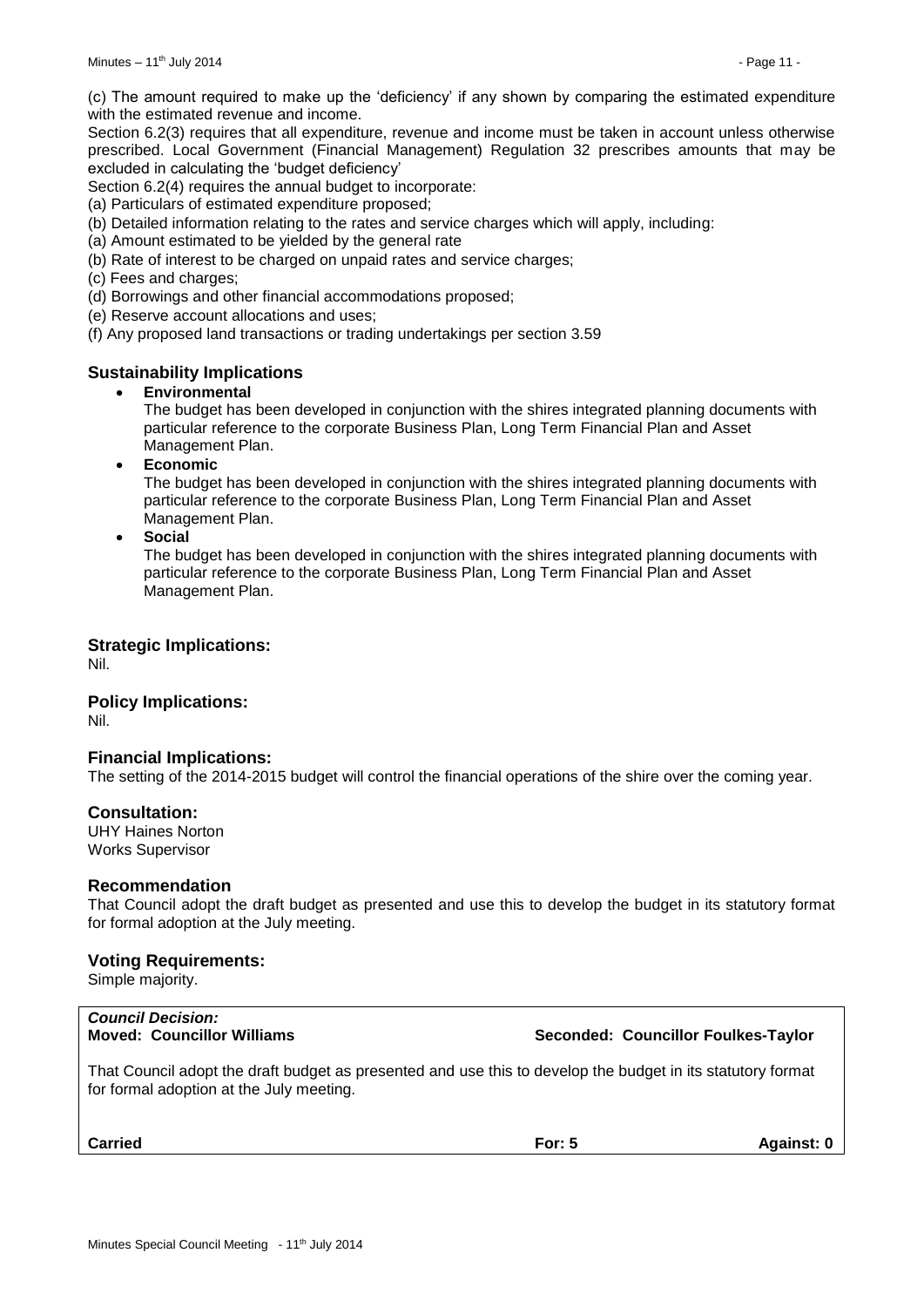(c) The amount required to make up the 'deficiency' if any shown by comparing the estimated expenditure with the estimated revenue and income.

Section 6.2(3) requires that all expenditure, revenue and income must be taken in account unless otherwise prescribed. Local Government (Financial Management) Regulation 32 prescribes amounts that may be excluded in calculating the 'budget deficiency'

Section 6.2(4) requires the annual budget to incorporate:

(a) Particulars of estimated expenditure proposed;

(b) Detailed information relating to the rates and service charges which will apply, including:

- (a) Amount estimated to be yielded by the general rate
- (b) Rate of interest to be charged on unpaid rates and service charges;
- (c) Fees and charges;

(d) Borrowings and other financial accommodations proposed;

(e) Reserve account allocations and uses;

(f) Any proposed land transactions or trading undertakings per section 3.59

# **Sustainability Implications**

#### **Environmental**

The budget has been developed in conjunction with the shires integrated planning documents with particular reference to the corporate Business Plan, Long Term Financial Plan and Asset Management Plan.

**Economic**

The budget has been developed in conjunction with the shires integrated planning documents with particular reference to the corporate Business Plan, Long Term Financial Plan and Asset Management Plan.

**Social**

The budget has been developed in conjunction with the shires integrated planning documents with particular reference to the corporate Business Plan, Long Term Financial Plan and Asset Management Plan.

#### **Strategic Implications:**

Nil.

# **Policy Implications:**

Nil.

#### **Financial Implications:**

The setting of the 2014-2015 budget will control the financial operations of the shire over the coming year.

#### **Consultation:**

UHY Haines Norton Works Supervisor

#### **Recommendation**

That Council adopt the draft budget as presented and use this to develop the budget in its statutory format for formal adoption at the July meeting.

#### **Voting Requirements:**

Simple majority.

# *Council Decision:*

# **Moved: Councillor Williams Seconded: Councillor Foulkes-Taylor**

That Council adopt the draft budget as presented and use this to develop the budget in its statutory format for formal adoption at the July meeting.

**Carried For: 5 Against: 0**